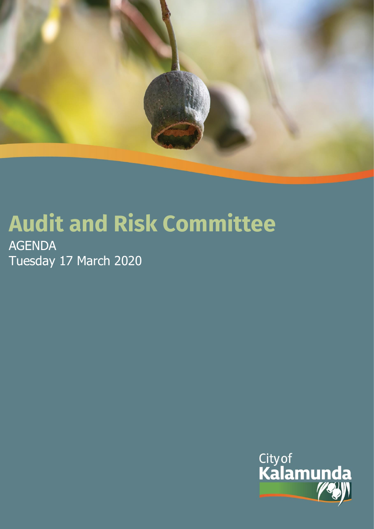

# **Audit and Risk Committee**

AGENDA Tuesday 17 March 2020

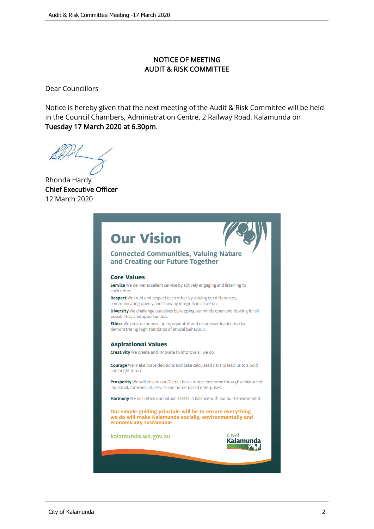# NOTICE OF MEETING AUDIT & RISK COMMITTEE

Dear Councillors

Notice is hereby given that the next meeting of the Audit & Risk Committee will be held in the Council Chambers, Administration Centre, 2 Railway Road, Kalamunda on Tuesday 17 March 2020 at 6.30pm.

Rhonda Hardy Chief Executive Officer 12 March 2020

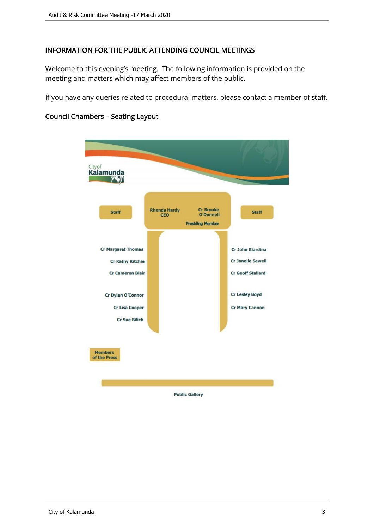# INFORMATION FOR THE PUBLIC ATTENDING COUNCIL MEETINGS

Welcome to this evening's meeting. The following information is provided on the meeting and matters which may affect members of the public.

If you have any queries related to procedural matters, please contact a member of staff.



# Council Chambers – Seating Layout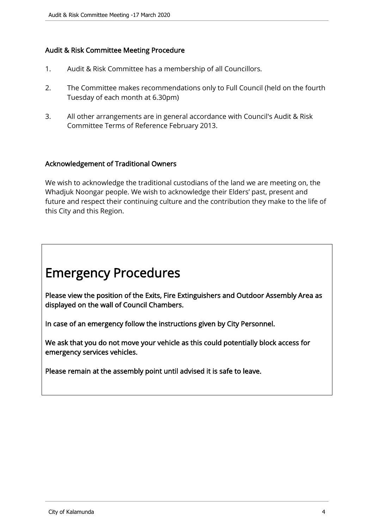# Audit & Risk Committee Meeting Procedure

- 1. Audit & Risk Committee has a membership of all Councillors.
- 2. The Committee makes recommendations only to Full Council (held on the fourth Tuesday of each month at 6.30pm)
- 3. All other arrangements are in general accordance with Council's Audit & Risk Committee Terms of Reference February 2013.

#### Acknowledgement of Traditional Owners

We wish to acknowledge the traditional custodians of the land we are meeting on, the Whadjuk Noongar people. We wish to acknowledge their Elders' past, present and future and respect their continuing culture and the contribution they make to the life of this City and this Region.

# Emergency Procedures

Please view the position of the Exits, Fire Extinguishers and Outdoor Assembly Area as displayed on the wall of Council Chambers.

In case of an emergency follow the instructions given by City Personnel.

We ask that you do not move your vehicle as this could potentially block access for emergency services vehicles.

Please remain at the assembly point until advised it is safe to leave.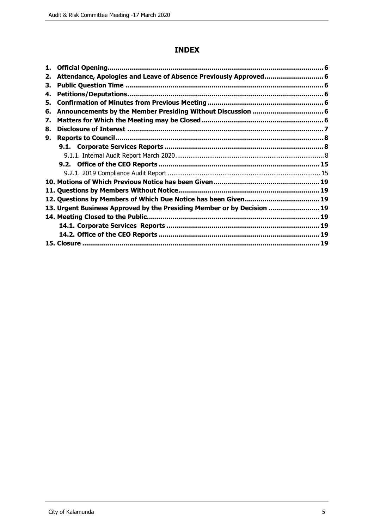# **INDEX**

| 2. | Attendance, Apologies and Leave of Absence Previously Approved 6        |    |  |
|----|-------------------------------------------------------------------------|----|--|
| З. |                                                                         |    |  |
| 4. |                                                                         |    |  |
| 5. |                                                                         |    |  |
| 6. |                                                                         |    |  |
| 7. |                                                                         |    |  |
| 8. |                                                                         |    |  |
| 9. |                                                                         |    |  |
|    |                                                                         |    |  |
|    |                                                                         |    |  |
|    |                                                                         |    |  |
|    |                                                                         |    |  |
|    |                                                                         |    |  |
|    |                                                                         |    |  |
|    |                                                                         |    |  |
|    | 13. Urgent Business Approved by the Presiding Member or by Decision  19 |    |  |
|    |                                                                         |    |  |
|    |                                                                         |    |  |
|    |                                                                         |    |  |
|    |                                                                         | 19 |  |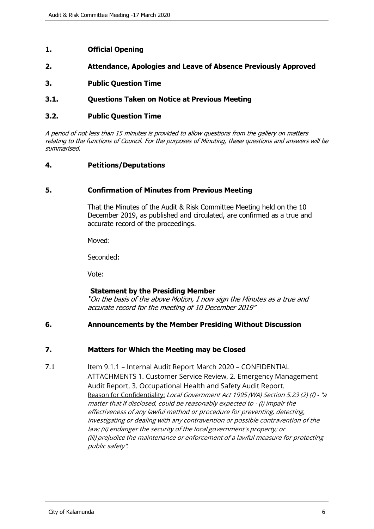- <span id="page-5-0"></span>**1. Official Opening**
- **2. Attendance, Apologies and Leave of Absence Previously Approved**
- **3. Public Question Time**
- **3.1. Questions Taken on Notice at Previous Meeting**

#### **3.2. Public Question Time**

A period of not less than 15 minutes is provided to allow questions from the gallery on matters relating to the functions of Council. For the purposes of Minuting, these questions and answers will be summarised.

#### **4. Petitions/Deputations**

#### **5. Confirmation of Minutes from Previous Meeting**

That the Minutes of the Audit & Risk Committee Meeting held on the 10 December 2019, as published and circulated, are confirmed as a true and accurate record of the proceedings.

Moved:

Seconded:

Vote:

#### **Statement by the Presiding Member**

"On the basis of the above Motion, I now sign the Minutes as a true and accurate record for the meeting of 10 December 2019"

#### **6. Announcements by the Member Presiding Without Discussion**

#### **7. Matters for Which the Meeting may be Closed**

7.1 Item 9.1.1 – Internal Audit Report March 2020 – CONFIDENTIAL ATTACHMENTS 1. Customer Service Review, 2. Emergency Management Audit Report, 3. Occupational Health and Safety Audit Report. Reason for Confidentiality: Local Government Act 1995 (WA) Section 5.23 (2) (f) - "a matter that if disclosed, could be reasonably expected to - (i) impair the effectiveness of any lawful method or procedure for preventing, detecting, investigating or dealing with any contravention or possible contravention of the law; (ii) endanger the security of the local government's property; or (iii) prejudice the maintenance or enforcement of a lawful measure for protecting public safety".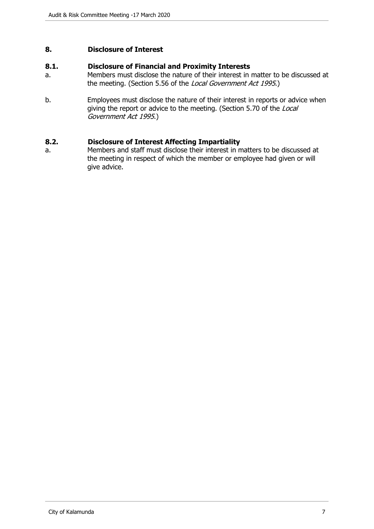#### <span id="page-6-0"></span>**8. Disclosure of Interest**

#### **8.1. Disclosure of Financial and Proximity Interests**

- a. Members must disclose the nature of their interest in matter to be discussed at the meeting. (Section 5.56 of the Local Government Act 1995.)
- b. Employees must disclose the nature of their interest in reports or advice when giving the report or advice to the meeting. (Section 5.70 of the Local Government Act 1995.)

#### **8.2. Disclosure of Interest Affecting Impartiality**

a. Members and staff must disclose their interest in matters to be discussed at the meeting in respect of which the member or employee had given or will give advice.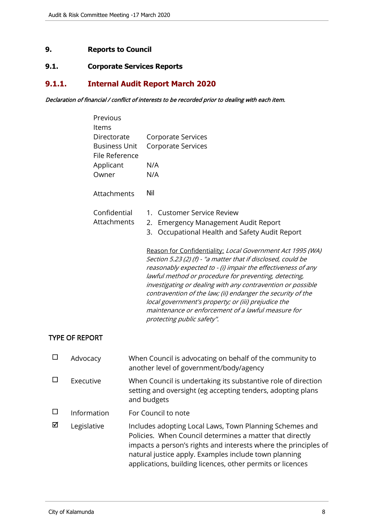# <span id="page-7-0"></span>**9. Reports to Council**

# **9.1. Corporate Services Reports**

# **9.1.1. Internal Audit Report March 2020**

#### Declaration of financial / conflict of interests to be recorded prior to dealing with each item.

| Previous<br>Items                      |                                                                                                                                                                                                                                                                                                                                                                                                                                                                                                                              |  |  |
|----------------------------------------|------------------------------------------------------------------------------------------------------------------------------------------------------------------------------------------------------------------------------------------------------------------------------------------------------------------------------------------------------------------------------------------------------------------------------------------------------------------------------------------------------------------------------|--|--|
| Directorate                            | Corporate Services                                                                                                                                                                                                                                                                                                                                                                                                                                                                                                           |  |  |
| <b>Business Unit</b><br>File Reference | Corporate Services                                                                                                                                                                                                                                                                                                                                                                                                                                                                                                           |  |  |
| Applicant                              | N/A                                                                                                                                                                                                                                                                                                                                                                                                                                                                                                                          |  |  |
| Owner                                  | N/A                                                                                                                                                                                                                                                                                                                                                                                                                                                                                                                          |  |  |
| Attachments                            | Nil                                                                                                                                                                                                                                                                                                                                                                                                                                                                                                                          |  |  |
| Confidential                           | <b>Customer Service Review</b><br>1.                                                                                                                                                                                                                                                                                                                                                                                                                                                                                         |  |  |
| Attachments                            | <b>Emergency Management Audit Report</b><br>2.                                                                                                                                                                                                                                                                                                                                                                                                                                                                               |  |  |
|                                        | Occupational Health and Safety Audit Report<br>3.                                                                                                                                                                                                                                                                                                                                                                                                                                                                            |  |  |
|                                        | Reason for Confidentiality: Local Government Act 1995 (WA)<br>Section 5.23 (2) (f) - "a matter that if disclosed, could be<br>reasonably expected to - (i) impair the effectiveness of any<br>lawful method or procedure for preventing, detecting,<br>investigating or dealing with any contravention or possible<br>contravention of the law; (ii) endanger the security of the<br>local government's property; or (iii) prejudice the<br>maintenance or enforcement of a lawful measure for<br>protecting public safety". |  |  |

#### TYPE OF REPORT

|   | Advocacy    | When Council is advocating on behalf of the community to<br>another level of government/body/agency                                                                                                                                                                                                           |  |
|---|-------------|---------------------------------------------------------------------------------------------------------------------------------------------------------------------------------------------------------------------------------------------------------------------------------------------------------------|--|
|   | Executive   | When Council is undertaking its substantive role of direction<br>setting and oversight (eg accepting tenders, adopting plans<br>and budgets                                                                                                                                                                   |  |
|   | Information | For Council to note                                                                                                                                                                                                                                                                                           |  |
| ⊠ | Legislative | Includes adopting Local Laws, Town Planning Schemes and<br>Policies. When Council determines a matter that directly<br>impacts a person's rights and interests where the principles of<br>natural justice apply. Examples include town planning<br>applications, building licences, other permits or licences |  |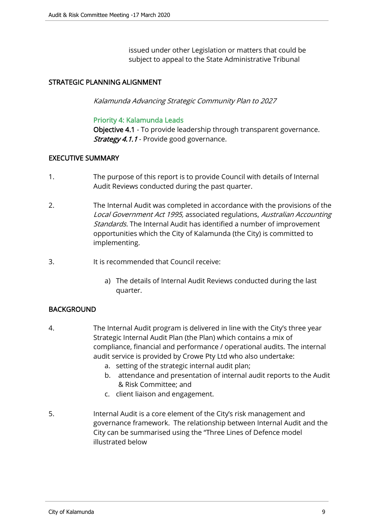issued under other Legislation or matters that could be subject to appeal to the State Administrative Tribunal

#### STRATEGIC PLANNING ALIGNMENT

Kalamunda Advancing Strategic Community Plan to 2027

#### Priority 4: Kalamunda Leads

Objective 4.1 - To provide leadership through transparent governance. **Strategy 4.1.1** - Provide good governance.

#### EXECUTIVE SUMMARY

- 1. The purpose of this report is to provide Council with details of Internal Audit Reviews conducted during the past quarter.
- 2. The Internal Audit was completed in accordance with the provisions of the Local Government Act 1995, associated regulations, Australian Accounting Standards. The Internal Audit has identified a number of improvement opportunities which the City of Kalamunda (the City) is committed to implementing.
- 3. It is recommended that Council receive:
	- a) The details of Internal Audit Reviews conducted during the last quarter.

#### BACKGROUND

- 4. The Internal Audit program is delivered in line with the City's three year Strategic Internal Audit Plan (the Plan) which contains a mix of compliance, financial and performance / operational audits. The internal audit service is provided by Crowe Pty Ltd who also undertake:
	- a. setting of the strategic internal audit plan;
	- b. attendance and presentation of internal audit reports to the Audit & Risk Committee; and
	- c. client liaison and engagement.
- 5. Internal Audit is a core element of the City's risk management and governance framework. The relationship between Internal Audit and the City can be summarised using the "Three Lines of Defence model illustrated below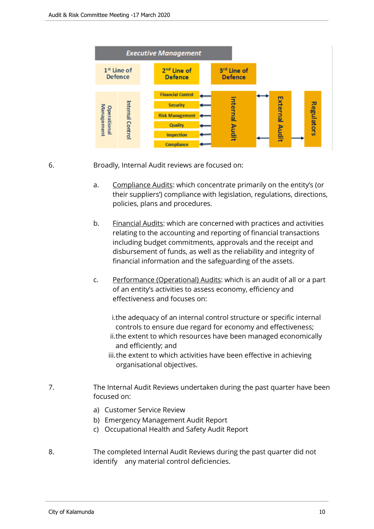

6. Broadly, Internal Audit reviews are focused on:

- a. Compliance Audits: which concentrate primarily on the entity's (or their suppliers') compliance with legislation, regulations, directions, policies, plans and procedures.
- b. Financial Audits: which are concerned with practices and activities relating to the accounting and reporting of financial transactions including budget commitments, approvals and the receipt and disbursement of funds, as well as the reliability and integrity of financial information and the safeguarding of the assets.
- c. Performance (Operational) Audits: which is an audit of all or a part of an entity's activities to assess economy, efficiency and effectiveness and focuses on:

i.the adequacy of an internal control structure or specific internal controls to ensure due regard for economy and effectiveness;

- ii.the extent to which resources have been managed economically and efficiently; and
- iii.the extent to which activities have been effective in achieving organisational objectives.
- 7. The Internal Audit Reviews undertaken during the past quarter have been focused on:
	- a) Customer Service Review
	- b) Emergency Management Audit Report
	- c) Occupational Health and Safety Audit Report
- 8. The completed Internal Audit Reviews during the past quarter did not identify any material control deficiencies.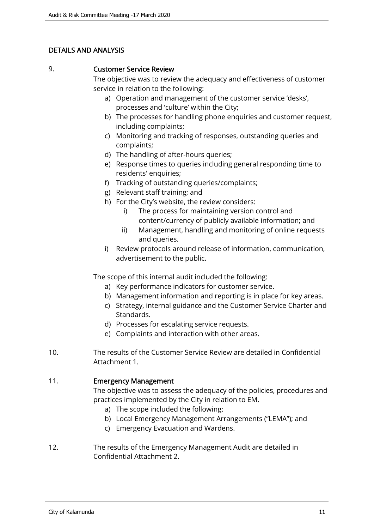# DETAILS AND ANALYSIS

#### 9. Customer Service Review

The objective was to review the adequacy and effectiveness of customer service in relation to the following:

- a) Operation and management of the customer service 'desks', processes and 'culture' within the City;
- b) The processes for handling phone enquiries and customer request, including complaints;
- c) Monitoring and tracking of responses, outstanding queries and complaints;
- d) The handling of after-hours queries;
- e) Response times to queries including general responding time to residents' enquiries;
- f) Tracking of outstanding queries/complaints;
- g) Relevant staff training; and
- h) For the City's website, the review considers:
	- i) The process for maintaining version control and content/currency of publicly available information; and
	- ii) Management, handling and monitoring of online requests and queries.
- i) Review protocols around release of information, communication, advertisement to the public.

The scope of this internal audit included the following:

- a) Key performance indicators for customer service.
- b) Management information and reporting is in place for key areas.
- c) Strategy, internal guidance and the Customer Service Charter and Standards.
- d) Processes for escalating service requests.
- e) Complaints and interaction with other areas.
- 10. The results of the Customer Service Review are detailed in Confidential Attachment 1.

# 11. Emergency Management

The objective was to assess the adequacy of the policies, procedures and practices implemented by the City in relation to EM.

- a) The scope included the following:
- b) Local Emergency Management Arrangements ("LEMA"); and
- c) Emergency Evacuation and Wardens.
- 12. The results of the Emergency Management Audit are detailed in Confidential Attachment 2.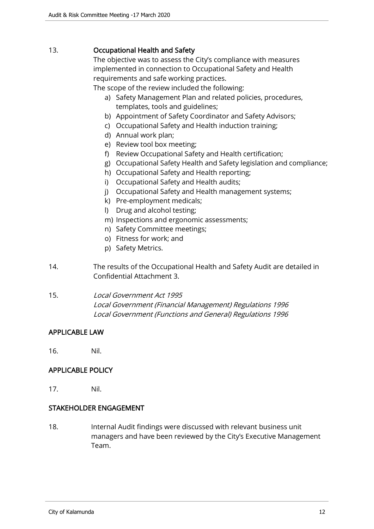### 13. Occupational Health and Safety

The objective was to assess the City's compliance with measures implemented in connection to Occupational Safety and Health requirements and safe working practices.

The scope of the review included the following:

- a) Safety Management Plan and related policies, procedures, templates, tools and guidelines;
- b) Appointment of Safety Coordinator and Safety Advisors;
- c) Occupational Safety and Health induction training;
- d) Annual work plan;
- e) Review tool box meeting;
- f) Review Occupational Safety and Health certification;
- g) Occupational Safety Health and Safety legislation and compliance;
- h) Occupational Safety and Health reporting;
- i) Occupational Safety and Health audits;
- j) Occupational Safety and Health management systems;
- k) Pre-employment medicals;
- l) Drug and alcohol testing;
- m) Inspections and ergonomic assessments;
- n) Safety Committee meetings;
- o) Fitness for work; and
- p) Safety Metrics.
- 14. The results of the Occupational Health and Safety Audit are detailed in Confidential Attachment 3.
- 15. Local Government Act 1995 Local Government (Financial Management) Regulations 1996 Local Government (Functions and General) Regulations 1996

#### APPLICABLE LAW

16. Nil.

#### APPLICABLE POLICY

17. Nil.

#### STAKEHOLDER ENGAGEMENT

18. Internal Audit findings were discussed with relevant business unit managers and have been reviewed by the City's Executive Management Team.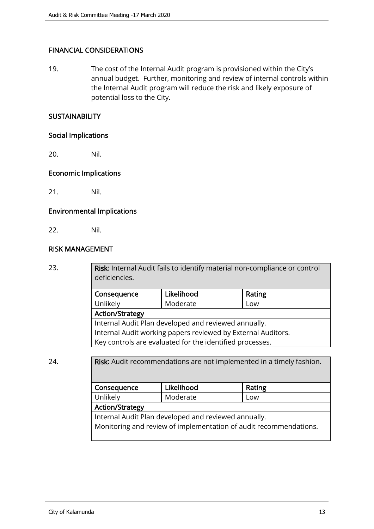# FINANCIAL CONSIDERATIONS

19. The cost of the Internal Audit program is provisioned within the City's annual budget. Further, monitoring and review of internal controls within the Internal Audit program will reduce the risk and likely exposure of potential loss to the City.

#### **SUSTAINABILITY**

#### Social Implications

20. Nil.

#### Economic Implications

21. Nil.

#### Environmental Implications

22. Nil.

#### RISK MANAGEMENT

23. **Risk:** Internal Audit fails to identify material non-compliance or control deficiencies.

| Consequence                                                  | Likelihood | Rating |  |
|--------------------------------------------------------------|------------|--------|--|
| Unlikely                                                     | Moderate   | Low    |  |
| <b>Action/Strategy</b>                                       |            |        |  |
| Internal Audit Plan developed and reviewed annually.         |            |        |  |
| Internal Audit working papers reviewed by External Auditors. |            |        |  |
| Key controls are evaluated for the identified processes.     |            |        |  |

# 24. **Risk:** Audit recommendations are not implemented in a timely fashion.

| Consequence                                                       | Likelihood | Rating |  |
|-------------------------------------------------------------------|------------|--------|--|
| Unlikely                                                          | Moderate   | Low    |  |
| <b>Action/Strategy</b>                                            |            |        |  |
| Internal Audit Plan developed and reviewed annually.              |            |        |  |
| Monitoring and review of implementation of audit recommendations. |            |        |  |
|                                                                   |            |        |  |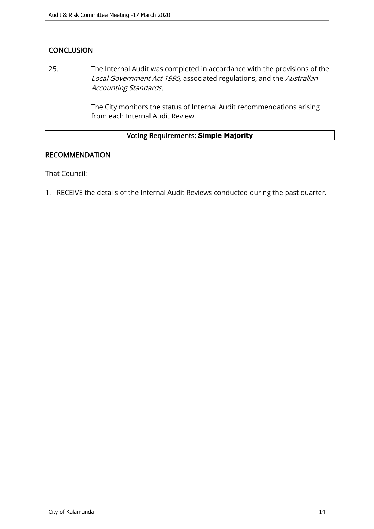# **CONCLUSION**

25. The Internal Audit was completed in accordance with the provisions of the Local Government Act 1995, associated regulations, and the Australian Accounting Standards.

> The City monitors the status of Internal Audit recommendations arising from each Internal Audit Review.

# Voting Requirements: **Simple Majority**

#### RECOMMENDATION

That Council:

1. RECEIVE the details of the Internal Audit Reviews conducted during the past quarter.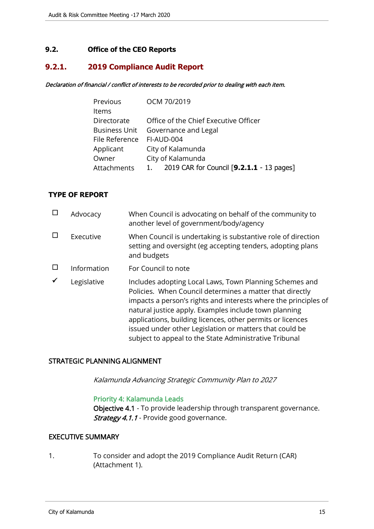# <span id="page-14-0"></span>**9.2. Office of the CEO Reports**

# **9.2.1. 2019 Compliance Audit Report**

#### Declaration of financial / conflict of interests to be recorded prior to dealing with each item.

| Previous       | OCM 70/2019                                     |  |
|----------------|-------------------------------------------------|--|
| Items          |                                                 |  |
| Directorate    | Office of the Chief Executive Officer           |  |
|                | Business Unit Governance and Legal              |  |
| File Reference | FI-AUD-004                                      |  |
| Applicant      | City of Kalamunda                               |  |
| Owner          | City of Kalamunda                               |  |
| Attachments    | 2019 CAR for Council [9.2.1.1 - 13 pages]<br>1. |  |

#### **TYPE OF REPORT**

| Advocacy    | When Council is advocating on behalf of the community to<br>another level of government/body/agency                                                                                                                                                                                                                                                                                                                                |
|-------------|------------------------------------------------------------------------------------------------------------------------------------------------------------------------------------------------------------------------------------------------------------------------------------------------------------------------------------------------------------------------------------------------------------------------------------|
| Executive   | When Council is undertaking is substantive role of direction<br>setting and oversight (eg accepting tenders, adopting plans<br>and budgets                                                                                                                                                                                                                                                                                         |
| Information | For Council to note                                                                                                                                                                                                                                                                                                                                                                                                                |
| Legislative | Includes adopting Local Laws, Town Planning Schemes and<br>Policies. When Council determines a matter that directly<br>impacts a person's rights and interests where the principles of<br>natural justice apply. Examples include town planning<br>applications, building licences, other permits or licences<br>issued under other Legislation or matters that could be<br>subject to appeal to the State Administrative Tribunal |

#### STRATEGIC PLANNING ALIGNMENT

Kalamunda Advancing Strategic Community Plan to 2027

#### Priority 4: Kalamunda Leads

Objective 4.1 - To provide leadership through transparent governance. Strategy 4.1.1 - Provide good governance.

# EXECUTIVE SUMMARY

1. To consider and adopt the 2019 Compliance Audit Return (CAR) (Attachment 1).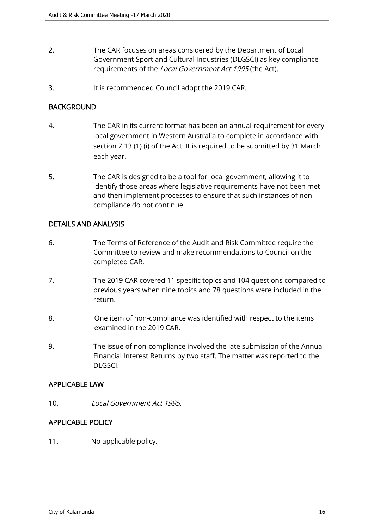- 2. The CAR focuses on areas considered by the Department of Local Government Sport and Cultural Industries (DLGSCI) as key compliance requirements of the Local Government Act 1995 (the Act).
- 3. It is recommended Council adopt the 2019 CAR.

# **BACKGROUND**

- 4. The CAR in its current format has been an annual requirement for every local government in Western Australia to complete in accordance with section 7.13 (1) (i) of the Act. It is required to be submitted by 31 March each year.
- 5. The CAR is designed to be a tool for local government, allowing it to identify those areas where legislative requirements have not been met and then implement processes to ensure that such instances of noncompliance do not continue.

# DETAILS AND ANALYSIS

- 6. The Terms of Reference of the Audit and Risk Committee require the Committee to review and make recommendations to Council on the completed CAR.
- 7. The 2019 CAR covered 11 specific topics and 104 questions compared to previous years when nine topics and 78 questions were included in the return.
- 8. One item of non-compliance was identified with respect to the items examined in the 2019 CAR.
- 9. The issue of non-compliance involved the late submission of the Annual Financial Interest Returns by two staff. The matter was reported to the DLGSCI.

#### APPLICABLE LAW

10. Local Government Act 1995

# APPLICABLE POLICY

11. No applicable policy.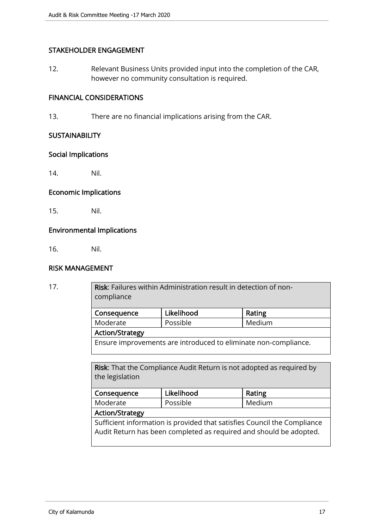### STAKEHOLDER ENGAGEMENT

12. Relevant Business Units provided input into the completion of the CAR, however no community consultation is required.

# FINANCIAL CONSIDERATIONS

13. There are no financial implications arising from the CAR.

#### **SUSTAINABILITY**

#### Social Implications

14. Nil.

# Economic Implications

15. Nil.

#### Environmental Implications

16. Nil.

#### RISK MANAGEMENT

| 17. | <b>Risk:</b> Failures within Administration result in detection of non-<br>compliance          |            |        |
|-----|------------------------------------------------------------------------------------------------|------------|--------|
|     | Consequence                                                                                    | Likelihood | Rating |
|     | Moderate                                                                                       | Possible   | Medium |
|     | <b>Action/Strategy</b>                                                                         |            |        |
|     | Ensure improvements are introduced to eliminate non-compliance.                                |            |        |
|     |                                                                                                |            |        |
|     | <b>Risk:</b> That the Compliance Audit Return is not adopted as required by<br>the legislation |            |        |
|     | Consequence                                                                                    | Likelihood | Rating |
|     | Moderate                                                                                       | Possible   | Medium |
|     |                                                                                                |            |        |

#### Action/Strategy

Sufficient information is provided that satisfies Council the Compliance Audit Return has been completed as required and should be adopted.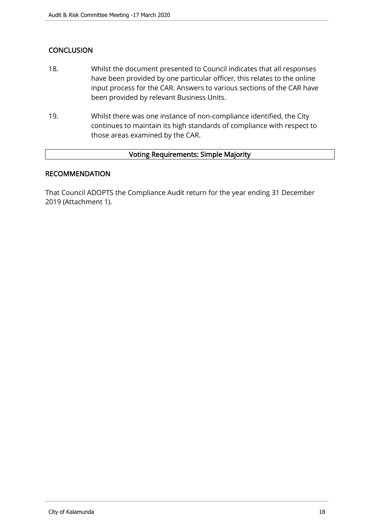# **CONCLUSION**

- 18. Whilst the document presented to Council indicates that all responses have been provided by one particular officer, this relates to the online input process for the CAR. Answers to various sections of the CAR have been provided by relevant Business Units.
- 19. Whilst there was one instance of non-compliance identified, the City continues to maintain its high standards of compliance with respect to those areas examined by the CAR.

#### Voting Requirements: Simple Majority

#### RECOMMENDATION

That Council ADOPTS the Compliance Audit return for the year ending 31 December 2019 (Attachment 1).